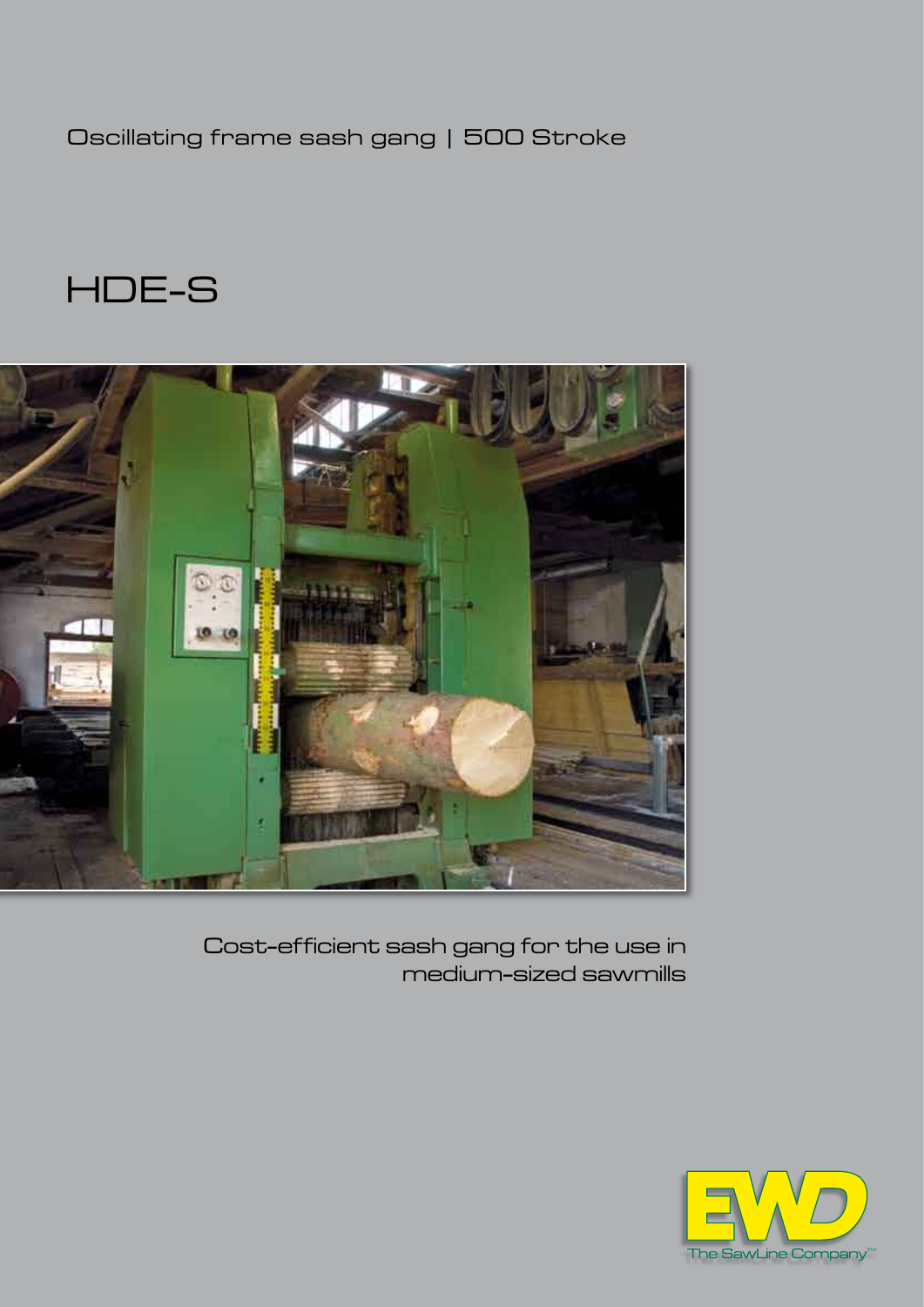Oscillating frame sash gang | 500 Stroke

HDE-S



Cost-efficient sash gang for the use in medium-sized sawmills

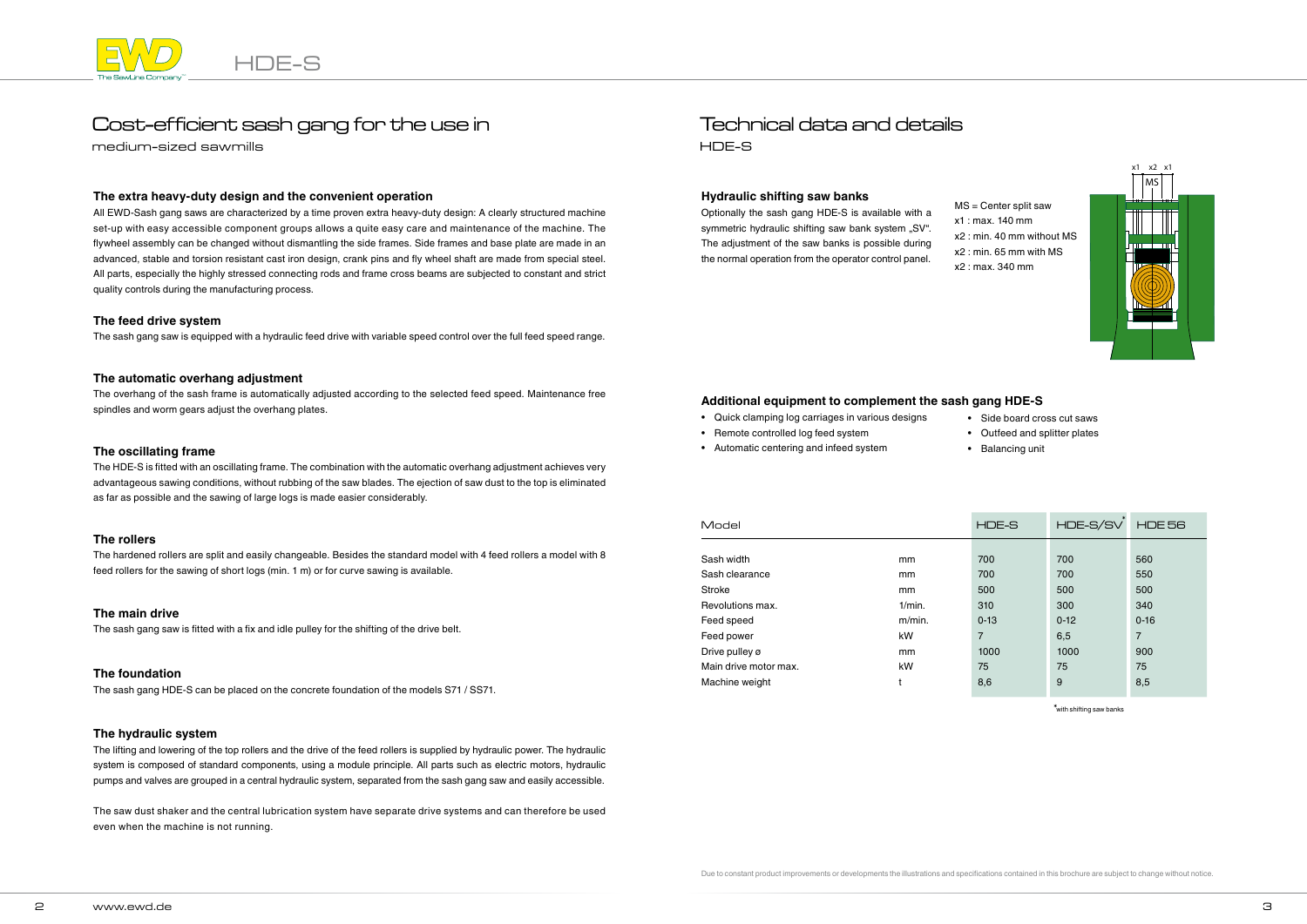

# Cost-efficient sash gang for the use in

medium-sized sawmills

## Technical data and details HDE-S

#### **Hydraulic shifting saw banks**

Optionally the sash gang HDE-S is available with a symmetric hydraulic shifting saw bank system "SV". The adjustment of the saw banks is possible during the normal operation from the operator control panel.

#### **The extra heavy-duty design and the convenient operation**

All EWD-Sash gang saws are characterized by a time proven extra heavy-duty design: A clearly structured machine set-up with easy accessible component groups allows a quite easy care and maintenance of the machine. The flywheel assembly can be changed without dismantling the side frames. Side frames and base plate are made in an advanced, stable and torsion resistant cast iron design, crank pins and fly wheel shaft are made from special steel. All parts, especially the highly stressed connecting rods and frame cross beams are subjected to constant and strict quality controls during the manufacturing process.

#### **The feed drive system**

The sash gang saw is equipped with a hydraulic feed drive with variable speed control over the full feed speed range.

#### **The automatic overhang adjustment**

The overhang of the sash frame is automatically adjusted according to the selected feed speed. Maintenance free spindles and worm gears adjust the overhang plates.

#### **The oscillating frame**

The HDE-S is fitted with an oscillating frame. The combination with the automatic overhang adjustment achieves very advantageous sawing conditions, without rubbing of the saw blades. The ejection of saw dust to the top is eliminated as far as possible and the sawing of large logs is made easier considerably.

#### **The rollers**

The hardened rollers are split and easily changeable. Besides the standard model with 4 feed rollers a model with 8 feed rollers for the sawing of short logs (min. 1 m) or for curve sawing is available.

#### **The main drive**

The sash gang saw is fitted with a fix and idle pulley for the shifting of the drive belt.

#### **The hydraulic system**

The lifting and lowering of the top rollers and the drive of the feed rollers is supplied by hydraulic power. The hydraulic system is composed of standard components, using a module principle. All parts such as electric motors, hydraulic pumps and valves are grouped in a central hydraulic system, separated from the sash gang saw and easily accessible.

The saw dust shaker and the central lubrication system have separate drive systems and can therefore be used even when the machine is not running.

MS = Center split saw x1 : max. 140 mm x2 : min. 40 mm without MS x2 : min. 65 mm with MS x2 : max. 340 mm



#### **The foundation**

The sash gang HDE-S can be placed on the concrete foundation of the models S71 / SS71.

| Model                 |           | HDE-S          | HDE-S/SV | <b>HDE 56</b>  |
|-----------------------|-----------|----------------|----------|----------------|
|                       |           |                |          |                |
| Sash width            | mm        | 700            | 700      | 560            |
| Sash clearance        | mm        | 700            | 700      | 550            |
| Stroke                | mm        | 500            | 500      | 500            |
| Revolutions max.      | 1/min.    | 310            | 300      | 340            |
| Feed speed            | $m/min$ . | $0 - 13$       | $0 - 12$ | $0 - 16$       |
| Feed power            | kW        | $\overline{7}$ | 6,5      | $\overline{7}$ |
| Drive pulley ø        | mm        | 1000           | 1000     | 900            |
| Main drive motor max. | kW        | 75             | 75       | 75             |
| Machine weight        | t         | 8,6            | 9        | 8,5            |

\*with shifting saw banks

### **Additional equipment to complement the sash gang HDE-S**

- Quick clamping log carriages in various designs • Remote controlled log feed system
- Automatic centering and infeed system

• Side board cross cut saws • Outfeed and splitter plates • Balancing unit